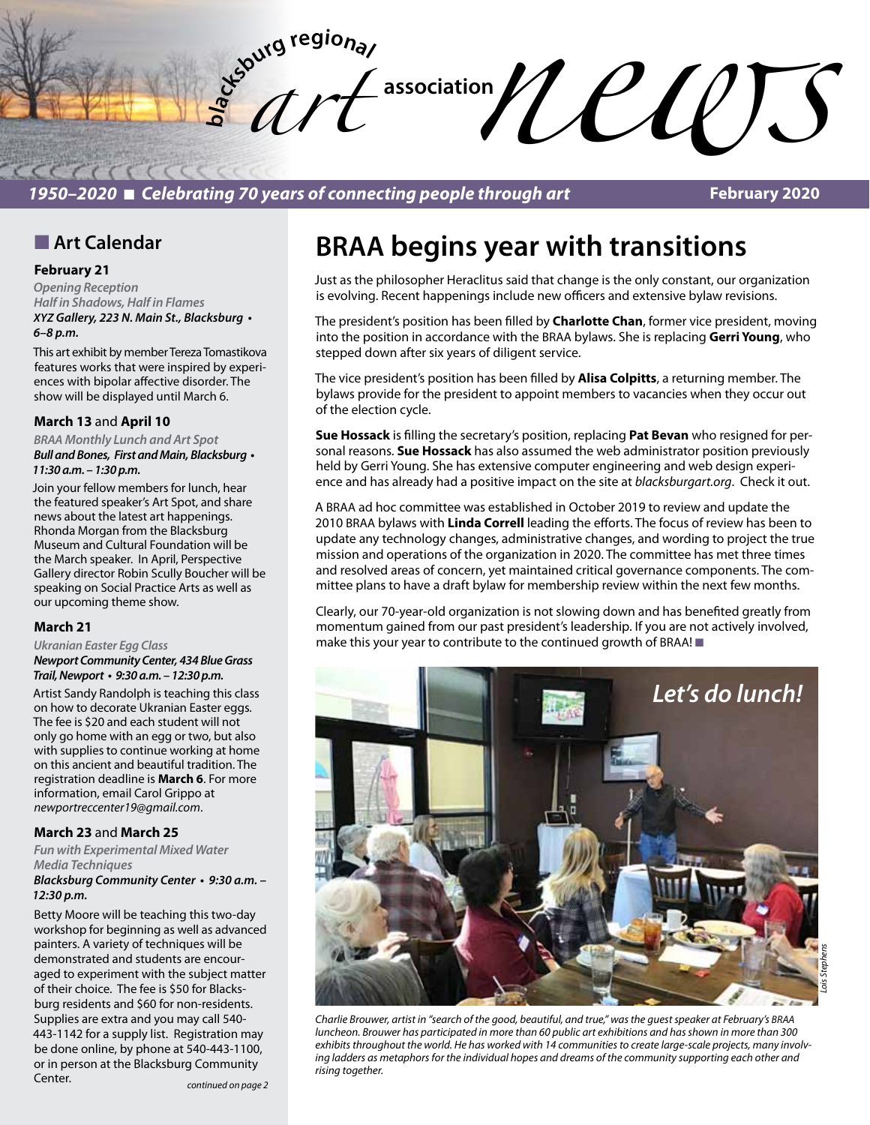

### *1950–2020* n *Celebrating 70 years of connecting people through art*

**February 2020**

### **n** Art Calendar

#### **February 21**

*Opening Reception Half in Shadows, Half in Flames XYZ* **Gallery, 223 N. Main St., Blacksburg •**  *6–8 p.m.* 

This art exhibit by member Tereza Tomastikova features works that were inspired by experiences with bipolar affective disorder. The show will be displayed until March 6.

#### **March 13** and **April 10**

*BRAA Monthly Lunch and Art Spot* **Bull and Bones, First and Main, Blacksburg •**  *11:30 a.m. – 1:30 p.m.* 

Join your fellow members for lunch, hear the featured speaker's Art Spot, and share news about the latest art happenings. Rhonda Morgan from the Blacksburg Museum and Cultural Foundation will be the March speaker. In April, Perspective Gallery director Robin Scully Boucher will be speaking on Social Practice Arts as well as our upcoming theme show.

#### **March 21**

*Ukranian Easter Egg Class Newport Community Center, 434 Blue Grass*  **Trail, Newport • 9:30 a.m. – 12:30 p.m.** 

Artist Sandy Randolph is teaching this class on how to decorate Ukranian Easter eggs. The fee is \$20 and each student will not only go home with an egg or two, but also with supplies to continue working at home on this ancient and beautiful tradition. The registration deadline is **March 6**. For more information, email Carol Grippo at *newportreccenter19@gmail.com*.

### **March 23** and **March 25**

*Fun with Experimental Mixed Water Media Techniques*

#### **Blacksburg Community Center • 9:30 a.m. –**  *12:30 p.m.*

Betty Moore will be teaching this two-day workshop for beginning as well as advanced painters. A variety of techniques will be demonstrated and students are encouraged to experiment with the subject matter of their choice. The fee is \$50 for Blacksburg residents and \$60 for non-residents. Supplies are extra and you may call 540- 443-1142 for a supply list. Registration may be done online, by phone at 540-443-1100, or in person at the Blacksburg Community Center.

# **BRAA begins year with transitions**

Just as the philosopher Heraclitus said that change is the only constant, our organization is evolving. Recent happenings include new officers and extensive bylaw revisions.

The president's position has been filled by **Charlotte Chan**, former vice president, moving into the position in accordance with the BRAA bylaws. She is replacing **Gerri Young**, who stepped down after six years of diligent service.

The vice president's position has been filled by **Alisa Colpitts**, a returning member. The bylaws provide for the president to appoint members to vacancies when they occur out of the election cycle.

**Sue Hossack** is filling the secretary's position, replacing **Pat Bevan** who resigned for personal reasons. **Sue Hossack** has also assumed the web administrator position previously held by Gerri Young. She has extensive computer engineering and web design experience and has already had a positive impact on the site at *blacksburgart.org*. Check it out.

A BRAA ad hoc committee was established in October 2019 to review and update the 2010 BRAA bylaws with **Linda Correll** leading the efforts. The focus of review has been to update any technology changes, administrative changes, and wording to project the true mission and operations of the organization in 2020. The committee has met three times and resolved areas of concern, yet maintained critical governance components. The committee plans to have a draft bylaw for membership review within the next few months.

Clearly, our 70-year-old organization is not slowing down and has benefited greatly from momentum gained from our past president's leadership. If you are not actively involved, make this your year to contribute to the continued growth of BRAA!  $\blacksquare$ 



*Charlie Brouwer, artist in "search of the good, beautiful, and true," was the guest speaker at February's BRAA luncheon. Brouwer has participated in more than 60 public art exhibitions and has shown in more than 300 exhibits throughout the world. He has worked with 14 communities to create large-scale projects, many involving ladders as metaphors for the individual hopes and dreams of the community supporting each other and rising together.*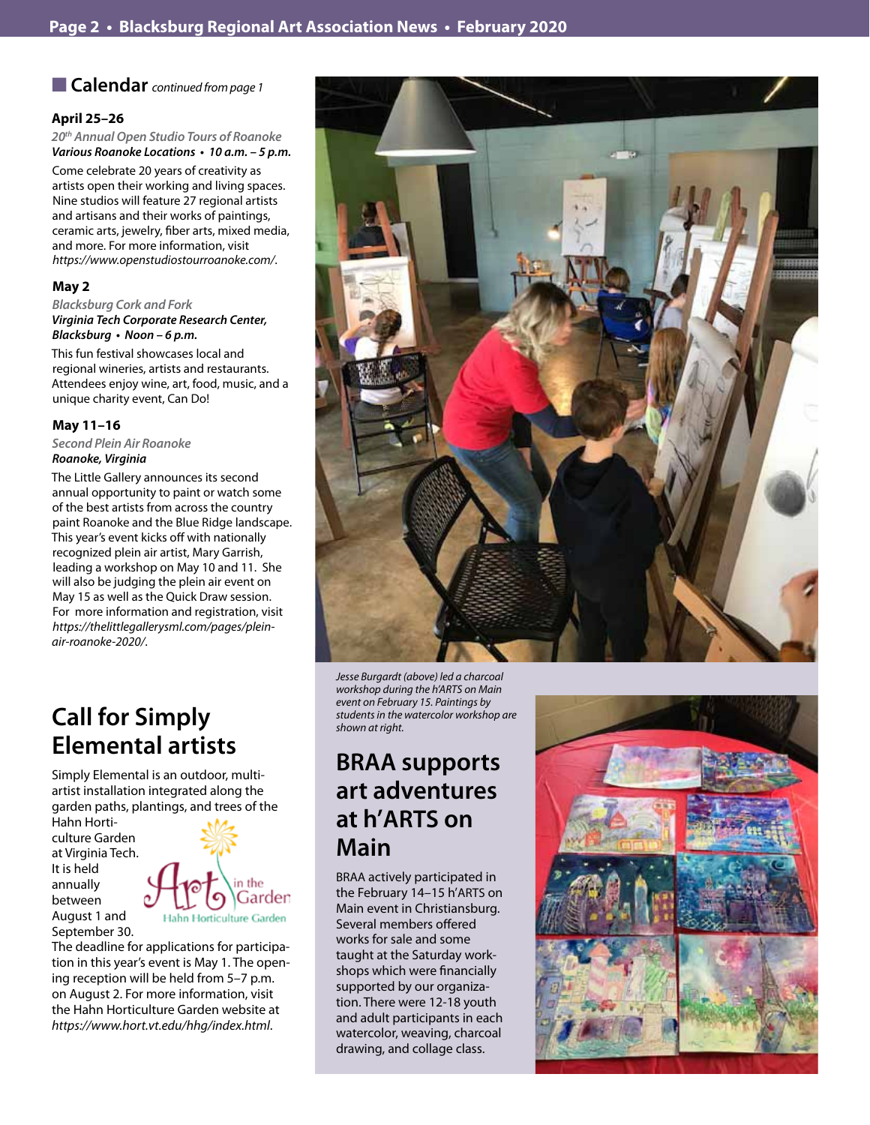■ Calendar *continued from page 1* 

### **April 25–26**

*20th Annual Open Studio Tours of Roanoke* **Various Roanoke Locations • 10 a.m. – 5 p.m.** 

Come celebrate 20 years of creativity as artists open their working and living spaces. Nine studios will feature 27 regional artists and artisans and their works of paintings, ceramic arts, jewelry, fiber arts, mixed media, and more. For more information, visit *https://www.openstudiostourroanoke.com/*.

### **May 2**

*Blacksburg Cork and Fork Virginia Tech Corporate Research Center,*  **Blacksburg • Noon – 6 p.m.** 

This fun festival showcases local and regional wineries, artists and restaurants. Attendees enjoy wine, art, food, music, and a unique charity event, Can Do!

### **May 11–16**

*Second Plein Air Roanoke Roanoke, Virginia* 

The Little Gallery announces its second annual opportunity to paint or watch some of the best artists from across the country paint Roanoke and the Blue Ridge landscape. This year's event kicks off with nationally recognized plein air artist, Mary Garrish, leading a workshop on May 10 and 11. She will also be judging the plein air event on May 15 as well as the Quick Draw session. For more information and registration, visit *https://thelittlegallerysml.com/pages/pleinair-roanoke-2020/*.

## **Call for Simply Elemental artists**

Simply Elemental is an outdoor, multiartist installation integrated along the garden paths, plantings, and trees of the

Hahn Horticulture Garden at Virginia Tech. It is held annually between August 1 and September 30.



The deadline for applications for participation in this year's event is May 1. The opening reception will be held from 5–7 p.m. on August 2. For more information, visit the Hahn Horticulture Garden website at *https://www.hort.vt.edu/hhg/index.html*.



*Jesse Burgardt (above) led a charcoal workshop during the h'ARTS on Main event on February 15. Paintings by students in the watercolor workshop are shown at right.*

## **BRAA supports art adventures at h'ARTS on Main**

BRAA actively participated in the February 14–15 h'ARTS on Main event in Christiansburg. Several members offered works for sale and some taught at the Saturday workshops which were financially supported by our organization. There were 12-18 youth and adult participants in each watercolor, weaving, charcoal drawing, and collage class.

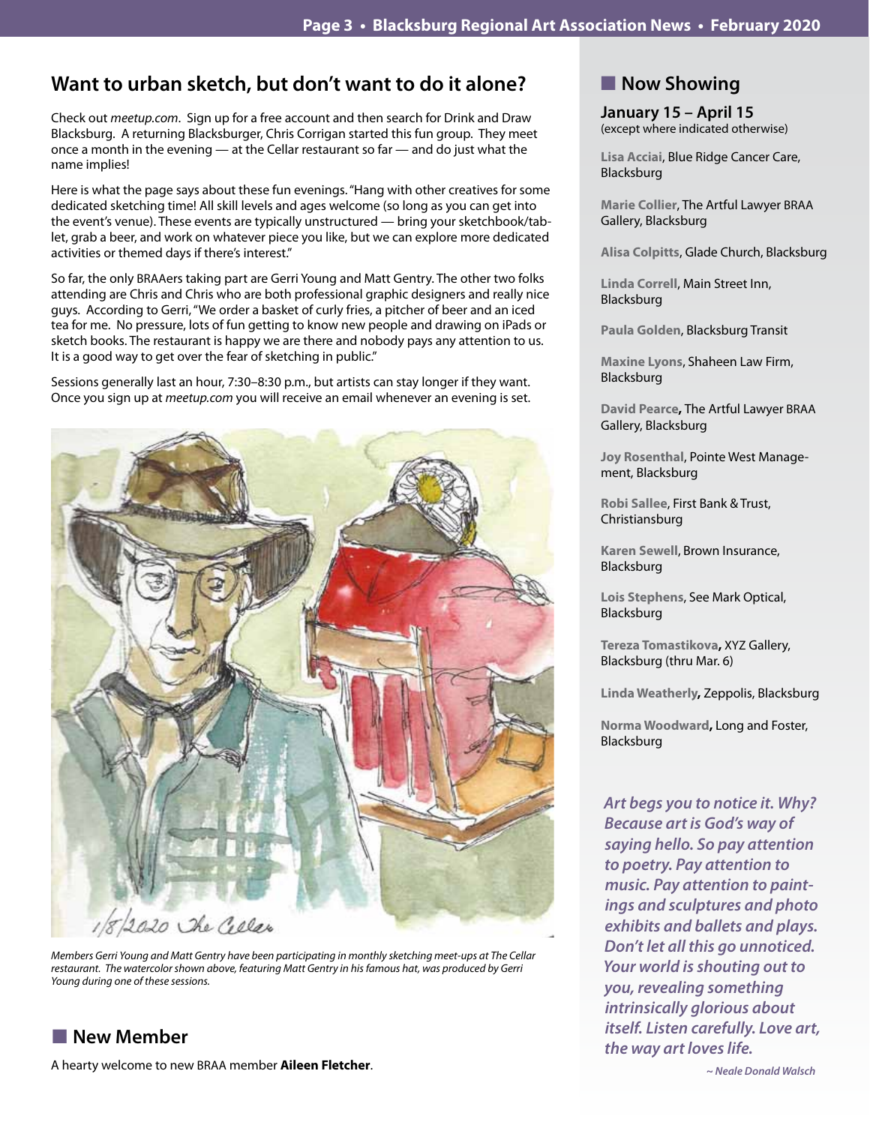### **Want to urban sketch, but don't want to do it alone?**

Check out *meetup.com*. Sign up for a free account and then search for Drink and Draw Blacksburg. A returning Blacksburger, Chris Corrigan started this fun group. They meet once a month in the evening — at the Cellar restaurant so far — and do just what the name implies!

Here is what the page says about these fun evenings. "Hang with other creatives for some dedicated sketching time! All skill levels and ages welcome (so long as you can get into the event's venue). These events are typically unstructured — bring your sketchbook/tablet, grab a beer, and work on whatever piece you like, but we can explore more dedicated activities or themed days if there's interest."

So far, the only BRAAers taking part are Gerri Young and Matt Gentry. The other two folks attending are Chris and Chris who are both professional graphic designers and really nice guys. According to Gerri, "We order a basket of curly fries, a pitcher of beer and an iced tea for me. No pressure, lots of fun getting to know new people and drawing on iPads or sketch books. The restaurant is happy we are there and nobody pays any attention to us. It is a good way to get over the fear of sketching in public."

Sessions generally last an hour, 7:30–8:30 p.m., but artists can stay longer if they want. Once you sign up at *meetup.com* you will receive an email whenever an evening is set.



*Members Gerri Young and Matt Gentry have been participating in monthly sketching meet-ups at The Cellar*  restaurant. The watercolor shown above, featuring Matt Gentry in his famous hat, was produced by Gerri *Young during one of these sessions.*

### **New Member**

A hearty welcome to new BRAA member **Aileen Fletcher**.

### **Now Showing**

**January 15 – April 15** (except where indicated otherwise)

**Lisa Acciai**, Blue Ridge Cancer Care, Blacksburg

**Marie Collier**, The Artful Lawyer BRAA Gallery, Blacksburg

**Alisa Colpitts**, Glade Church, Blacksburg

**Linda Correll**, Main Street Inn, Blacksburg

**Paula Golden**, Blacksburg Transit

**Maxine Lyons**, Shaheen Law Firm, Blacksburg

**David Pearce,** The Artful Lawyer BRAA Gallery, Blacksburg

**Joy Rosenthal**, Pointe West Management, Blacksburg

**Robi Sallee**, First Bank & Trust, Christiansburg

**Karen Sewell**, Brown Insurance, Blacksburg

**Lois Stephens**, See Mark Optical, Blacksburg

**Tereza Tomastikova,** XYZ Gallery, Blacksburg (thru Mar. 6)

**Linda Weatherly,** Zeppolis, Blacksburg

**Norma Woodward,** Long and Foster, Blacksburg

*Art begs you to notice it. Why? Because art is God's way of saying hello. So pay attention to poetry. Pay attention to music. Pay attention to paintings and sculptures and photo exhibits and ballets and plays. Don't let all this go unnoticed. Your world is shouting out to you, revealing something intrinsically glorious about itself. Listen carefully. Love art, the way art loves life.*